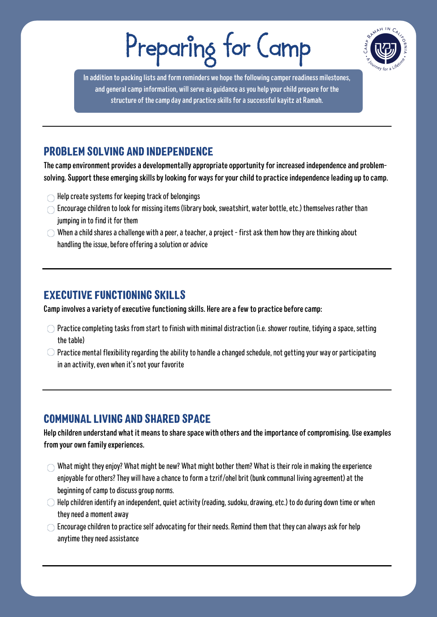# Preparing for Camp



In addition to packing lists and form reminders we hope the following camper readiness milestones, and general camp information, will serve as guidance as you help your child prepare for the structure of the camp day and practice skills for a successful kayitz at Ramah.

# PROBLEM SOLVING AND INDEPENDENCE

The camp environment provides a developmentally appropriate opportunity for increased independence and problemsolving. Support these emerging skills by looking for ways for your child to practice independence leading up to camp.

- $\bigcap$  Help create systems for keeping track of belongings
- $\bigcirc$  Encourage children to look for missing items (library book, sweatshirt, water bottle, etc.) themselves rather than jumping in to find it for them
- $\bigcirc$  When a child shares a challenge with a peer, a teacher, a project first ask them how they are thinking about handling the issue, before offering a solution or advice

### EXECUTIVE FUNCTIONING SKILLS

Camp involves a variety of executive functioning skills. Here are a few to practice before camp:

- $\bigcirc$  Practice completing tasks from start to finish with minimal distraction (i.e. shower routine, tidying a space, setting the table)
- $\bigcirc$  Practice mental flexibility regarding the ability to handle a changed schedule, not getting your way or participating in an activity, even when it's not your favorite

## COMMUNAL LIVING AND SHARED SPACE

Help children understand what it means to share space with others and the importance of compromising. Use examples from your own family experiences.

- $\bigcirc$  What might they enjoy? What might be new? What might bother them? What is their role in making the experience enjoyable for others? They will have a chance to form a tzrif/ohel brit (bunk communal living agreement) at the beginning of camp to discuss group norms.
- $\bigcirc$  Help children identify an independent, quiet activity (reading, sudoku, drawing, etc.) to do during down time or when they need a moment away
- $\bigcirc$  Encourage children to practice self advocating for their needs. Remind them that they can always ask for help anytime they need assistance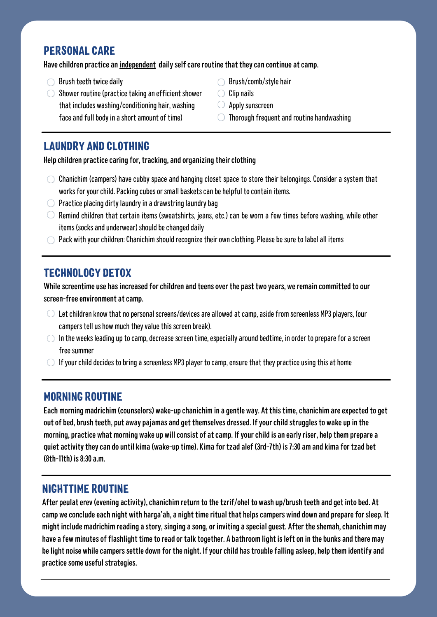#### PERSONAL CARE

Have children practice an independent daily self care routine that they can continue at camp.

- $\bigcirc$  Brush teeth twice daily
- $\bigcirc$  Shower routine (practice taking an efficient shower that includes washing/conditioning hair, washing face and full body in a short amount of time)
- $\bigcirc$  Brush/comb/style hair
- $\bigcirc$  Clip nails
- $\bigcirc$  Apply sunscreen
- $\bigcirc$  Thorough frequent and routine handwashing

#### LAUNDRY AND CLOTHING

Help children practice caring for, tracking, and organizing their clothing

- $\circ$  Chanichim (campers) have cubby space and hanging closet space to store their belongings. Consider a system that works for your child. Packing cubes or small baskets can be helpful to contain items.
- $\bigcirc$  Practice placing dirty laundry in a drawstring laundry bag
- $\circlearrowright$  Remind children that certain items (sweatshirts, jeans, etc.) can be worn a few times before washing, while other items (socks and underwear) should be changed daily
- $\bigcirc$  Pack with your children: Chanichim should recognize their own clothing. Please be sure to label all items

## TECHNOLOGY DETOX

While screentime use has increased for children and teens over the past two years, we remain committed to our screen-free environment at camp.

- $\circ$  Let children know that no personal screens/devices are allowed at camp, aside from screenless MP3 players, (our campers tell us how much they value this screen break).
- $\bigcirc$  In the weeks leading up to camp, decrease screen time, especially around bedtime, in order to prepare for a screen free summer
- $\bigcirc$  If your child decides to bring a screenless MP3 player to camp, ensure that they practice using this at home

#### MORNING ROUTINE

Each morning madrichim (counselors) wake-up chanichim in a gentle way. Atthistime,chanichim areexpected to get out of bed, brush teeth, put away pajamas and get themselves dressed. If your child struggles to wake up in the morning, practice what morning wake up will consist of at camp. If your child is an early riser, help them prepare a quiet activity they can do until kima (wake-up time). Kima for tzad alef (3rd-7th) is 7:30 am and kima for tzad bet  $(8th-11th)$  is  $8:30$  a.m.

#### NIGHTTIME ROUTINE

After peulat erev (evening activity), chanichim return to the tzrif/ohel to wash up/brush teeth and get into bed. At camp we conclude each night with harga'ah, a night time ritual that helps campers wind down and prepare for sleep. It might include madrichim reading a story, singing a song, or inviting a special guest. After the shemah, chanichim may have a few minutes of flashlight time to read or talk together. A bathroom light is left on in the bunks and there may be light noise while campers settle down for the night. If your child has trouble falling asleep, help them identify and practice some useful strategies.